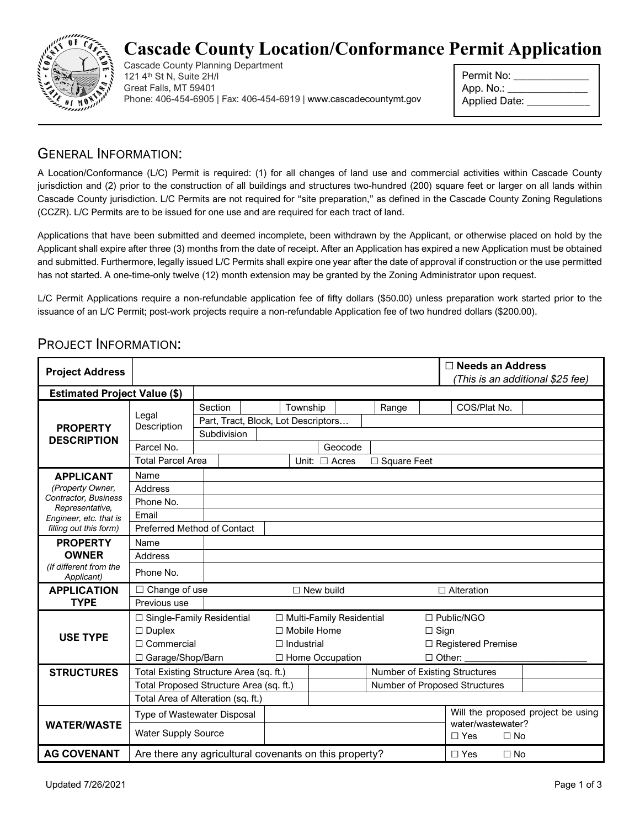

## **Cascade County Location/Conformance Permit Application**

Cascade County Planning Department 121 4th St N, Suite 2H/I Great Falls, MT 59401 Phone: 406-454-6905 | Fax: 406-454-6919 [| www.cascadecountymt.gov](http://www.cascadecountymt.gov/)

| Permit No:    |  |
|---------------|--|
| App. No.:     |  |
| Applied Date: |  |

### GENERAL INFORMATION:

A Location/Conformance (L/C) Permit is required: (1) for all changes of land use and commercial activities within Cascade County jurisdiction and (2) prior to the construction of all buildings and structures two-hundred (200) square feet or larger on all lands within Cascade County jurisdiction. L/C Permits are not required for "site preparation," as defined in the Cascade County Zoning Regulations (CCZR). L/C Permits are to be issued for one use and are required for each tract of land.

Applications that have been submitted and deemed incomplete, been withdrawn by the Applicant, or otherwise placed on hold by the Applicant shall expire after three (3) months from the date of receipt. After an Application has expired a new Application must be obtained and submitted. Furthermore, legally issued L/C Permits shall expire one year after the date of approval if construction or the use permitted has not started. A one-time-only twelve (12) month extension may be granted by the Zoning Administrator upon request.

L/C Permit Applications require a non-refundable application fee of fifty dollars (\$50.00) unless preparation work started prior to the issuance of an L/C Permit; post-work projects require a non-refundable Application fee of two hundred dollars (\$200.00).

#### PROJECT INFORMATION:

| <b>Project Address</b>                               |                                                        |                                     |  |                    |                            |                               |                         | $\Box$ Needs an Address<br>(This is an additional \$25 fee) |  |  |  |
|------------------------------------------------------|--------------------------------------------------------|-------------------------------------|--|--------------------|----------------------------|-------------------------------|-------------------------|-------------------------------------------------------------|--|--|--|
| <b>Estimated Project Value (\$)</b>                  |                                                        |                                     |  |                    |                            |                               |                         |                                                             |  |  |  |
| <b>PROPERTY</b><br><b>DESCRIPTION</b>                | Legal<br>Description                                   | Section                             |  | Township           |                            |                               | Range                   | COS/Plat No.                                                |  |  |  |
|                                                      |                                                        | Part, Tract, Block, Lot Descriptors |  |                    |                            |                               |                         |                                                             |  |  |  |
|                                                      |                                                        | Subdivision                         |  |                    |                            |                               |                         |                                                             |  |  |  |
|                                                      | Parcel No.                                             |                                     |  |                    | Geocode                    |                               |                         |                                                             |  |  |  |
|                                                      | <b>Total Parcel Area</b>                               |                                     |  |                    | Unit: $\Box$ Acres         |                               | $\Box$ Square Feet      |                                                             |  |  |  |
| <b>APPLICANT</b>                                     | Name                                                   |                                     |  |                    |                            |                               |                         |                                                             |  |  |  |
| (Property Owner,                                     | Address                                                |                                     |  |                    |                            |                               |                         |                                                             |  |  |  |
| Contractor, Business<br>Representative,              | Phone No.                                              |                                     |  |                    |                            |                               |                         |                                                             |  |  |  |
| Engineer, etc. that is                               | Email                                                  |                                     |  |                    |                            |                               |                         |                                                             |  |  |  |
| filling out this form)                               | Preferred Method of Contact                            |                                     |  |                    |                            |                               |                         |                                                             |  |  |  |
| <b>PROPERTY</b>                                      | Name                                                   |                                     |  |                    |                            |                               |                         |                                                             |  |  |  |
| <b>OWNER</b><br>(If different from the<br>Applicant) | <b>Address</b>                                         |                                     |  |                    |                            |                               |                         |                                                             |  |  |  |
|                                                      | Phone No.                                              |                                     |  |                    |                            |                               |                         |                                                             |  |  |  |
| <b>APPLICATION</b>                                   | $\Box$ Change of use                                   |                                     |  | $\Box$ New build   |                            |                               |                         | $\Box$ Alteration                                           |  |  |  |
| <b>TYPE</b>                                          | Previous use                                           |                                     |  |                    |                            |                               |                         |                                                             |  |  |  |
|                                                      | $\Box$ Single-Family Residential                       |                                     |  |                    | □ Multi-Family Residential |                               |                         | $\Box$ Public/NGO                                           |  |  |  |
| <b>USE TYPE</b>                                      | $\Box$ Duplex                                          |                                     |  | $\Box$ Mobile Home |                            |                               |                         | $\Box$ Sign                                                 |  |  |  |
|                                                      | $\Box$ Commercial                                      |                                     |  | $\Box$ Industrial  |                            |                               |                         | □ Registered Premise                                        |  |  |  |
|                                                      | □ Garage/Shop/Barn                                     |                                     |  |                    | □ Home Occupation          |                               |                         | $\Box$ Other:                                               |  |  |  |
| <b>STRUCTURES</b>                                    | Total Existing Structure Area (sq. ft.)                |                                     |  |                    |                            | Number of Existing Structures |                         |                                                             |  |  |  |
|                                                      | Total Proposed Structure Area (sq. ft.)                |                                     |  |                    |                            |                               |                         | Number of Proposed Structures                               |  |  |  |
|                                                      | Total Area of Alteration (sq. ft.)                     |                                     |  |                    |                            |                               |                         |                                                             |  |  |  |
| <b>WATER/WASTE</b>                                   | Type of Wastewater Disposal                            |                                     |  |                    |                            |                               |                         | Will the proposed project be using<br>water/wastewater?     |  |  |  |
|                                                      | <b>Water Supply Source</b>                             |                                     |  |                    |                            |                               | $\Box$ Yes<br>$\Box$ No |                                                             |  |  |  |
| <b>AG COVENANT</b>                                   | Are there any agricultural covenants on this property? |                                     |  |                    |                            | $\Box$ Yes<br>$\Box$ No       |                         |                                                             |  |  |  |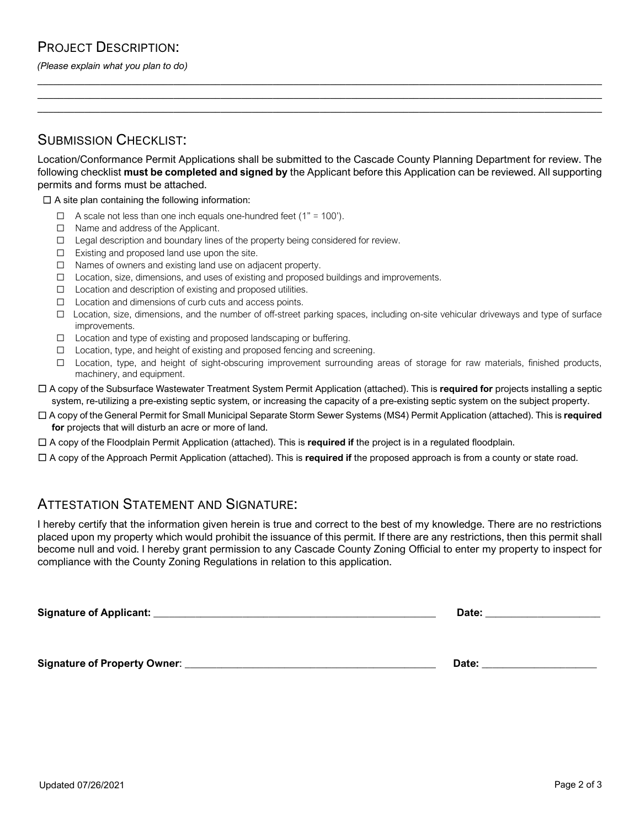#### PROJECT DESCRIPTION:

*(Please explain what you plan to do)*

#### SUBMISSION CHECKLIST:

Location/Conformance Permit Applications shall be submitted to the Cascade County Planning Department for review. The following checklist **must be completed and signed by** the Applicant before this Application can be reviewed. All supporting permits and forms must be attached.

**\_\_\_\_\_\_\_\_\_\_\_\_\_\_\_\_\_\_\_\_\_\_\_\_\_\_\_\_\_\_\_\_\_\_\_\_\_\_\_\_\_\_\_\_\_\_\_\_\_\_\_\_\_\_\_\_\_\_\_\_\_\_\_\_\_\_\_\_\_\_\_\_\_\_\_\_\_\_\_\_\_\_\_\_\_\_\_\_\_\_\_\_\_\_\_\_\_\_\_\_\_\_\_\_\_\_\_\_ \_\_\_\_\_\_\_\_\_\_\_\_\_\_\_\_\_\_\_\_\_\_\_\_\_\_\_\_\_\_\_\_\_\_\_\_\_\_\_\_\_\_\_\_\_\_\_\_\_\_\_\_\_\_\_\_\_\_\_\_\_\_\_\_\_\_\_\_\_\_\_\_\_\_\_\_\_\_\_\_\_\_\_\_\_\_\_\_\_\_\_\_\_\_\_\_\_\_\_\_\_\_\_\_\_\_\_\_ \_\_\_\_\_\_\_\_\_\_\_\_\_\_\_\_\_\_\_\_\_\_\_\_\_\_\_\_\_\_\_\_\_\_\_\_\_\_\_\_\_\_\_\_\_\_\_\_\_\_\_\_\_\_\_\_\_\_\_\_\_\_\_\_\_\_\_\_\_\_\_\_\_\_\_\_\_\_\_\_\_\_\_\_\_\_\_\_\_\_\_\_\_\_\_\_\_\_\_\_\_\_\_\_\_\_\_\_**

 $\Box$  A site plan containing the following information:

- $\Box$  A scale not less than one inch equals one-hundred feet (1" = 100").
- ☐ Name and address of the Applicant.
- ☐ Legal description and boundary lines of the property being considered for review.
- ☐ Existing and proposed land use upon the site.
- ☐ Names of owners and existing land use on adjacent property.
- ☐ Location, size, dimensions, and uses of existing and proposed buildings and improvements.
- ☐ Location and description of existing and proposed utilities.
- ☐ Location and dimensions of curb cuts and access points.
- ☐ Location, size, dimensions, and the number of off-street parking spaces, including on-site vehicular driveways and type of surface improvements.
- ☐ Location and type of existing and proposed landscaping or buffering.
- ☐ Location, type, and height of existing and proposed fencing and screening.
- ☐ Location, type, and height of sight-obscuring improvement surrounding areas of storage for raw materials, finished products, machinery, and equipment.
- ☐ A copy of the Subsurface Wastewater Treatment System Permit Application (attached). This is **required for** projects installing a septic system, re-utilizing a pre-existing septic system, or increasing the capacity of a pre-existing septic system on the subject property.
- ☐ A copy of the General Permit for Small Municipal Separate Storm Sewer Systems (MS4) Permit Application (attached). This is **required for** projects that will disturb an acre or more of land.
- ☐ A copy of the Floodplain Permit Application (attached). This is **required if** the project is in a regulated floodplain.
- ☐ A copy of the Approach Permit Application (attached). This is **required if** the proposed approach is from a county or state road.

#### ATTESTATION STATEMENT AND SIGNATURE:

I hereby certify that the information given herein is true and correct to the best of my knowledge. There are no restrictions placed upon my property which would prohibit the issuance of this permit. If there are any restrictions, then this permit shall become null and void. I hereby grant permission to any Cascade County Zoning Official to enter my property to inspect for compliance with the County Zoning Regulations in relation to this application.

**Signature of Applicant:** \_\_\_\_\_\_\_\_\_\_\_\_\_\_\_\_\_\_\_\_\_\_\_\_\_\_\_\_\_\_\_\_\_\_\_\_\_\_\_\_\_\_\_\_\_\_\_\_\_\_\_\_\_\_ **Date: \_\_\_\_\_\_\_\_\_\_\_\_\_\_\_\_\_\_\_\_\_\_**

**Signature of Property Owner**: \_\_\_\_\_\_\_\_\_\_\_\_\_\_\_\_\_\_\_\_\_\_\_\_\_\_\_\_\_\_\_\_\_\_\_\_\_\_\_\_\_\_\_\_\_\_\_\_ **Date:** \_\_\_\_\_\_\_\_\_\_\_\_\_\_\_\_\_\_\_\_\_\_